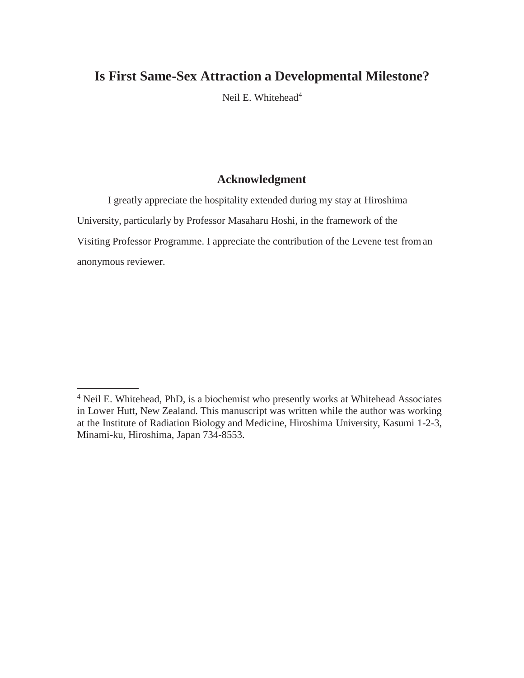Neil E. Whitehead<sup>4</sup>

## **Acknowledgment**

I greatly appreciate the hospitality extended during my stay at Hiroshima University, particularly by Professor Masaharu Hoshi, in the framework of the Visiting Professor Programme. I appreciate the contribution of the Levene test froman anonymous reviewer.

<sup>4</sup> Neil E. Whitehead, PhD, is a biochemist who presently works at Whitehead Associates in Lower Hutt, New Zealand. This manuscript was written while the author was working at the Institute of Radiation Biology and Medicine, Hiroshima University, Kasumi 1-2-3, Minami-ku, Hiroshima, Japan 734-8553.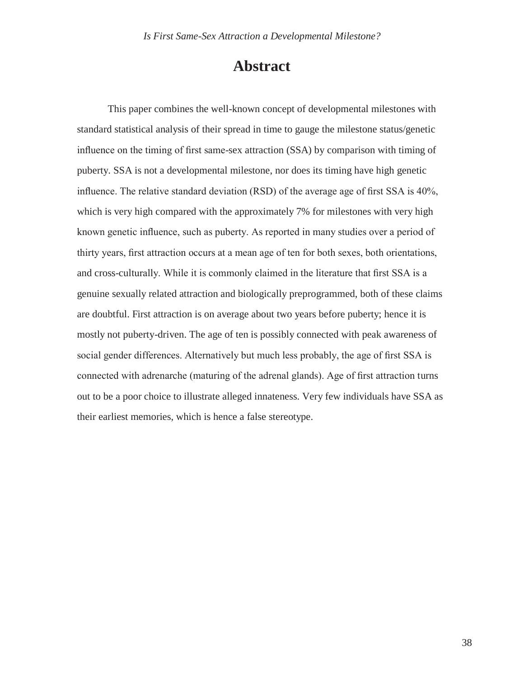## **Abstract**

This paper combines the well-known concept of developmental milestones with standard statistical analysis of their spread in time to gauge the milestone status/genetic influence on the timing of first same-sex attraction (SSA) by comparison with timing of puberty. SSA is not a developmental milestone, nor does its timing have high genetic influence. The relative standard deviation (RSD) of the average age of first SSA is 40%, which is very high compared with the approximately 7% for milestones with very high known genetic influence, such as puberty. As reported in many studies over a period of thirty years, first attraction occurs at a mean age of ten for both sexes, both orientations, and cross-culturally. While it is commonly claimed in the literature that first SSA is a genuine sexually related attraction and biologically preprogrammed, both of these claims are doubtful. First attraction is on average about two years before puberty; hence it is mostly not puberty-driven. The age of ten is possibly connected with peak awareness of social gender differences. Alternatively but much less probably, the age of first SSA is connected with adrenarche (maturing of the adrenal glands). Age of first attraction turns out to be a poor choice to illustrate alleged innateness. Very few individuals have SSA as their earliest memories, which is hence a false stereotype.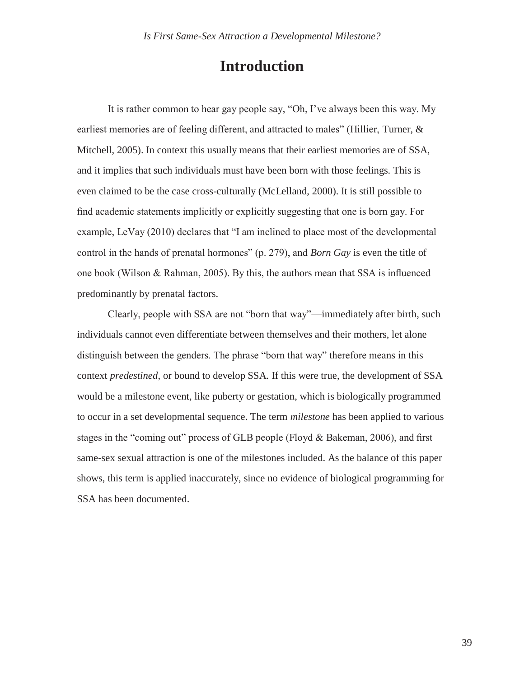# **Introduction**

It is rather common to hear gay people say, "Oh, I've always been this way. My earliest memories are of feeling different, and attracted to males" (Hillier, Turner, & Mitchell, 2005). In context this usually means that their earliest memories are of SSA, and it implies that such individuals must have been born with those feelings. This is even claimed to be the case cross-culturally (McLelland, 2000). It is still possible to find academic statements implicitly or explicitly suggesting that one is born gay. For example, LeVay (2010) declares that "I am inclined to place most of the developmental control in the hands of prenatal hormones" (p. 279), and *Born Gay* is even the title of one book (Wilson & Rahman, 2005). By this, the authors mean that SSA is influenced predominantly by prenatal factors.

Clearly, people with SSA are not "born that way"—immediately after birth, such individuals cannot even differentiate between themselves and their mothers, let alone distinguish between the genders. The phrase "born that way" therefore means in this context *predestined*, or bound to develop SSA. If this were true, the development of SSA would be a milestone event, like puberty or gestation, which is biologically programmed to occur in a set developmental sequence. The term *milestone* has been applied to various stages in the "coming out" process of GLB people (Floyd & Bakeman, 2006), and first same-sex sexual attraction is one of the milestones included. As the balance of this paper shows, this term is applied inaccurately, since no evidence of biological programming for SSA has been documented.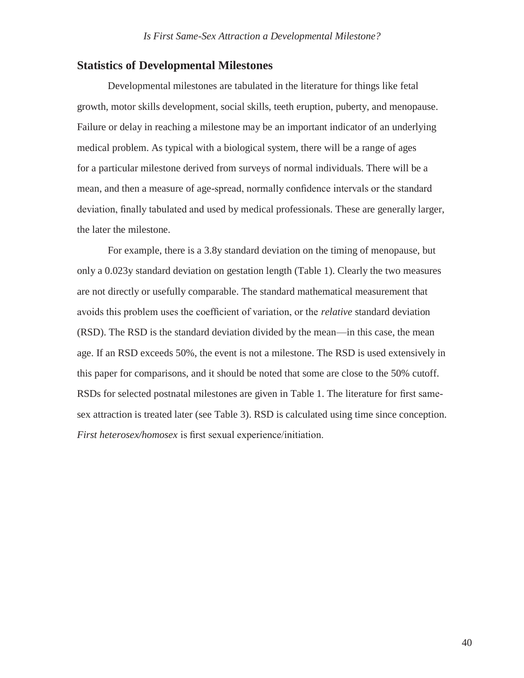## **Statistics of Developmental Milestones**

Developmental milestones are tabulated in the literature for things like fetal growth, motor skills development, social skills, teeth eruption, puberty, and menopause. Failure or delay in reaching a milestone may be an important indicator of an underlying medical problem. As typical with a biological system, there will be a range of ages for a particular milestone derived from surveys of normal individuals. There will be a mean, and then a measure of age-spread, normally confidence intervals or the standard deviation, finally tabulated and used by medical professionals. These are generally larger, the later the milestone.

For example, there is a 3.8y standard deviation on the timing of menopause, but only a 0.023y standard deviation on gestation length (Table 1). Clearly the two measures are not directly or usefully comparable. The standard mathematical measurement that avoids this problem uses the coefficient of variation, or the *relative* standard deviation (RSD). The RSD is the standard deviation divided by the mean—in this case, the mean age. If an RSD exceeds 50%, the event is not a milestone. The RSD is used extensively in this paper for comparisons, and it should be noted that some are close to the 50% cutoff. RSDs for selected postnatal milestones are given in Table 1. The literature for first samesex attraction is treated later (see Table 3). RSD is calculated using time since conception. *First heterosex/homosex* is first sexual experience/initiation.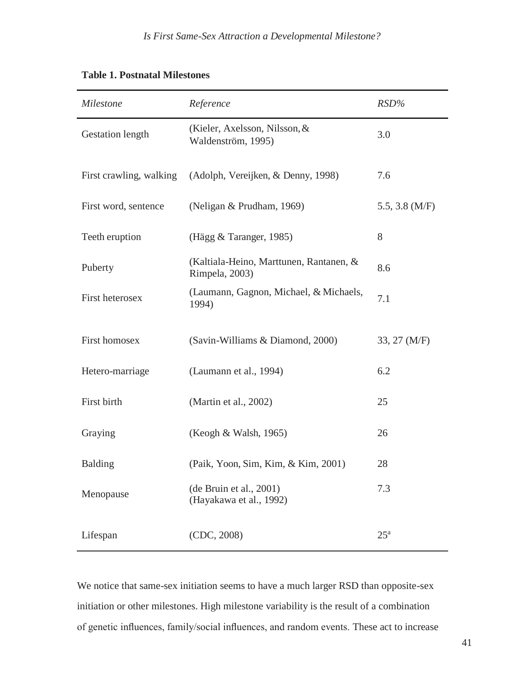| Milestone               | Reference                                                 | $RSD\%$          |
|-------------------------|-----------------------------------------------------------|------------------|
| Gestation length        | (Kieler, Axelsson, Nilsson, &<br>Waldenström, 1995)       | 3.0              |
| First crawling, walking | (Adolph, Vereijken, & Denny, 1998)                        | 7.6              |
| First word, sentence    | (Neligan & Prudham, 1969)                                 | 5.5, 3.8 $(M/F)$ |
| Teeth eruption          | (Hägg & Taranger, 1985)                                   | 8                |
| Puberty                 | (Kaltiala-Heino, Marttunen, Rantanen, &<br>Rimpela, 2003) | 8.6              |
| First heterosex         | (Laumann, Gagnon, Michael, & Michaels,<br>1994)           | 7.1              |
| First homosex           | (Savin-Williams & Diamond, 2000)                          | 33, 27 (M/F)     |
| Hetero-marriage         | (Laumann et al., 1994)                                    | 6.2              |
| First birth             | (Martin et al., 2002)                                     | 25               |
| Graying                 | (Keogh & Walsh, 1965)                                     | 26               |
| <b>Balding</b>          | (Paik, Yoon, Sim, Kim, & Kim, 2001)                       | 28               |
| Menopause               | (de Bruin et al., 2001)<br>(Hayakawa et al., 1992)        | 7.3              |
| Lifespan                | (CDC, 2008)                                               | $25^{\rm a}$     |

## **Table 1. Postnatal Milestones**

We notice that same-sex initiation seems to have a much larger RSD than opposite-sex initiation or other milestones. High milestone variability is the result of a combination of genetic influences, family/social influences, and random events. These act to increase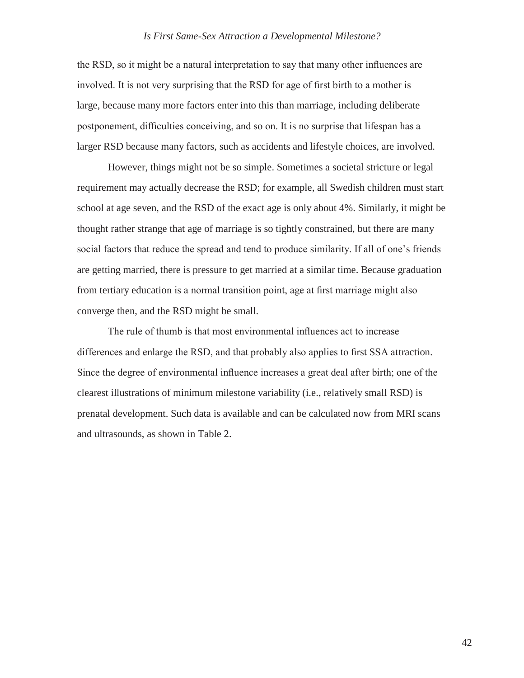the RSD, so it might be a natural interpretation to say that many other influences are involved. It is not very surprising that the RSD for age of first birth to a mother is large, because many more factors enter into this than marriage, including deliberate postponement, difficulties conceiving, and so on. It is no surprise that lifespan has a larger RSD because many factors, such as accidents and lifestyle choices, are involved.

However, things might not be so simple. Sometimes a societal stricture or legal requirement may actually decrease the RSD; for example, all Swedish children must start school at age seven, and the RSD of the exact age is only about 4%. Similarly, it might be thought rather strange that age of marriage is so tightly constrained, but there are many social factors that reduce the spread and tend to produce similarity. If all of one's friends are getting married, there is pressure to get married at a similar time. Because graduation from tertiary education is a normal transition point, age at first marriage might also converge then, and the RSD might be small.

The rule of thumb is that most environmental influences act to increase differences and enlarge the RSD, and that probably also applies to first SSA attraction. Since the degree of environmental influence increases a great deal after birth; one of the clearest illustrations of minimum milestone variability (i.e., relatively small RSD) is prenatal development. Such data is available and can be calculated now from MRI scans and ultrasounds, as shown in Table 2.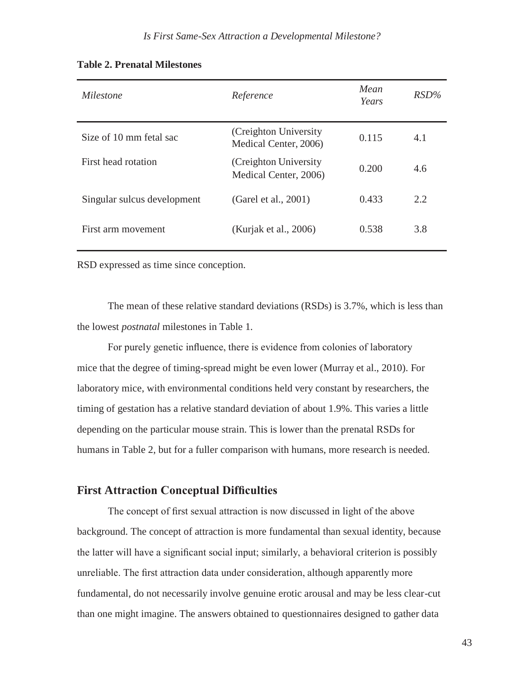| Milestone                   | Reference                                       | Mean<br>Years | $RSD\%$ |
|-----------------------------|-------------------------------------------------|---------------|---------|
| Size of 10 mm fetal sac     | (Creighton University)<br>Medical Center, 2006) | 0.115         | 4.1     |
| First head rotation         | (Creighton University)<br>Medical Center, 2006) | 0.200         | 4.6     |
| Singular sulcus development | (Garel et al., 2001)                            | 0.433         | 2.2     |
| First arm movement          | (Kurjak et al., 2006)                           | 0.538         | 3.8     |

#### **Table 2. Prenatal Milestones**

RSD expressed as time since conception.

The mean of these relative standard deviations (RSDs) is 3.7%, which is less than the lowest *postnatal* milestones in Table 1.

For purely genetic influence, there is evidence from colonies of laboratory mice that the degree of timing-spread might be even lower (Murray et al., 2010). For laboratory mice, with environmental conditions held very constant by researchers, the timing of gestation has a relative standard deviation of about 1.9%. This varies a little depending on the particular mouse strain. This is lower than the prenatal RSDs for humans in Table 2, but for a fuller comparison with humans, more research is needed.

## **First Attraction Conceptual Difficulties**

The concept of first sexual attraction is now discussed in light of the above background. The concept of attraction is more fundamental than sexual identity, because the latter will have a significant social input; similarly, a behavioral criterion is possibly unreliable. The first attraction data under consideration, although apparently more fundamental, do not necessarily involve genuine erotic arousal and may be less clear-cut than one might imagine. The answers obtained to questionnaires designed to gather data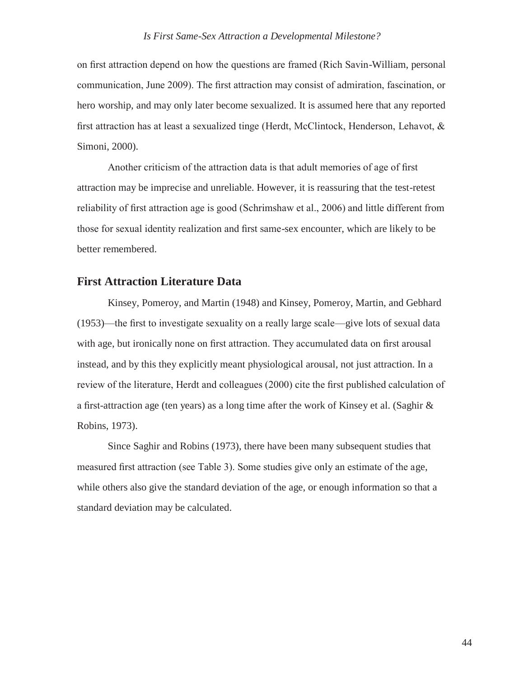on first attraction depend on how the questions are framed (Rich Savin-William, personal communication, June 2009). The first attraction may consist of admiration, fascination, or hero worship, and may only later become sexualized. It is assumed here that any reported first attraction has at least a sexualized tinge (Herdt, McClintock, Henderson, Lehavot, & Simoni, 2000).

Another criticism of the attraction data is that adult memories of age of first attraction may be imprecise and unreliable. However, it is reassuring that the test-retest reliability of first attraction age is good (Schrimshaw et al., 2006) and little different from those for sexual identity realization and first same-sex encounter, which are likely to be better remembered.

### **First Attraction Literature Data**

Kinsey, Pomeroy, and Martin (1948) and Kinsey, Pomeroy, Martin, and Gebhard (1953)—the first to investigate sexuality on a really large scale—give lots of sexual data with age, but ironically none on first attraction. They accumulated data on first arousal instead, and by this they explicitly meant physiological arousal, not just attraction. In a review of the literature, Herdt and colleagues (2000) cite the first published calculation of a first-attraction age (ten years) as a long time after the work of Kinsey et al. (Saghir & Robins, 1973).

Since Saghir and Robins (1973), there have been many subsequent studies that measured first attraction (see Table 3). Some studies give only an estimate of the age, while others also give the standard deviation of the age, or enough information so that a standard deviation may be calculated.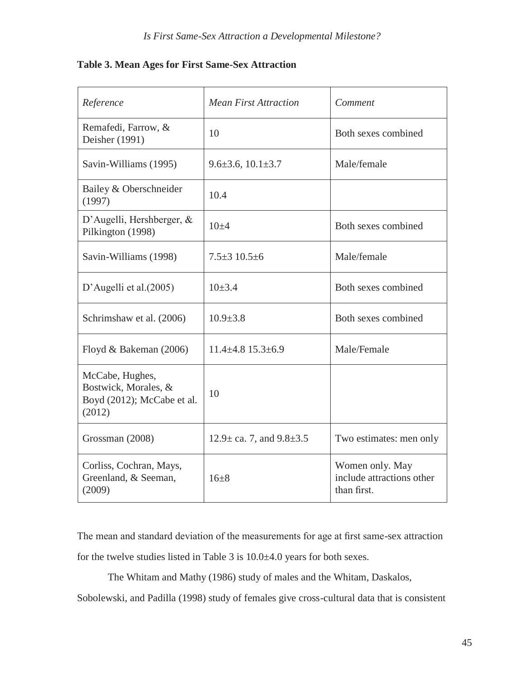|  |  |  | Table 3. Mean Ages for First Same-Sex Attraction |
|--|--|--|--------------------------------------------------|
|  |  |  |                                                  |

| Reference                                                                       | <b>Mean First Attraction</b>        | Comment                                                     |
|---------------------------------------------------------------------------------|-------------------------------------|-------------------------------------------------------------|
| Remafedi, Farrow, &<br>Deisher (1991)                                           | 10                                  | Both sexes combined                                         |
| Savin-Williams (1995)                                                           | $9.6 \pm 3.6, 10.1 \pm 3.7$         | Male/female                                                 |
| Bailey & Oberschneider<br>(1997)                                                | 10.4                                |                                                             |
| D'Augelli, Hershberger, $&$<br>Pilkington (1998)                                | $10+4$                              | Both sexes combined                                         |
| Savin-Williams (1998)                                                           | $7.5 \pm 3$ 10.5 $\pm$ 6            | Male/female                                                 |
| D'Augelli et al. $(2005)$                                                       | $10\pm 3.4$                         | Both sexes combined                                         |
| Schrimshaw et al. (2006)                                                        | $10.9 \pm 3.8$                      | Both sexes combined                                         |
| Floyd & Bakeman (2006)                                                          | $11.4\pm4.8$ $15.3\pm6.9$           | Male/Female                                                 |
| McCabe, Hughes,<br>Bostwick, Morales, &<br>Boyd (2012); McCabe et al.<br>(2012) | 10                                  |                                                             |
| Grossman (2008)                                                                 | $12.9 \pm$ ca. 7, and $9.8 \pm 3.5$ | Two estimates: men only                                     |
| Corliss, Cochran, Mays,<br>Greenland, & Seeman,<br>(2009)                       | $16+8$                              | Women only. May<br>include attractions other<br>than first. |

The mean and standard deviation of the measurements for age at first same-sex attraction for the twelve studies listed in Table 3 is 10.0±4.0 years for both sexes.

The Whitam and Mathy (1986) study of males and the Whitam, Daskalos,

Sobolewski, and Padilla (1998) study of females give cross-cultural data that is consistent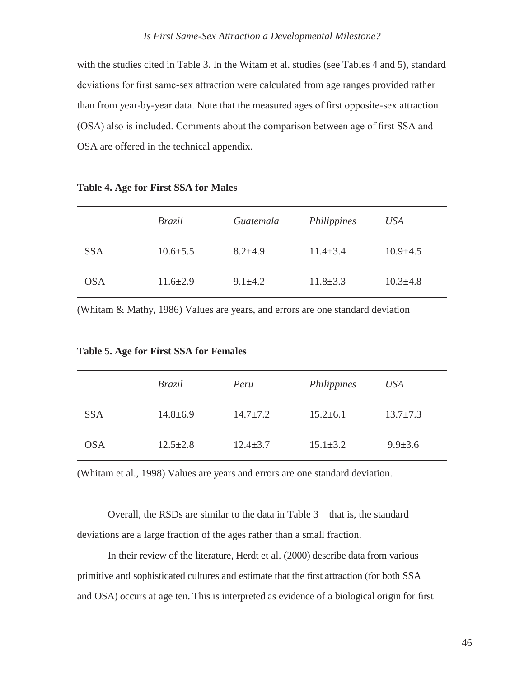with the studies cited in Table 3. In the Witam et al. studies (see Tables 4 and 5), standard deviations for first same-sex attraction were calculated from age ranges provided rather than from year-by-year data. Note that the measured ages of first opposite-sex attraction (OSA) also is included. Comments about the comparison between age of first SSA and OSA are offered in the technical appendix.

|            | <i>Brazil</i>  | Guatemala     | Philippines    | USA            |
|------------|----------------|---------------|----------------|----------------|
| <b>SSA</b> | $10.6 \pm 5.5$ | $8.2{\pm}4.9$ | $11.4 \pm 3.4$ | $10.9 \pm 4.5$ |
| <b>OSA</b> | $11.6 \pm 2.9$ | $9.1 \pm 4.2$ | $11.8 \pm 3.3$ | $10.3 \pm 4.8$ |

#### **Table 4. Age for First SSA for Males**

(Whitam & Mathy, 1986) Values are years, and errors are one standard deviation

|            | <i>Brazil</i>  | Peru           | Philippines    | USA            |
|------------|----------------|----------------|----------------|----------------|
| <b>SSA</b> | $14.8 \pm 6.9$ | $14.7 \pm 7.2$ | $15.2 \pm 6.1$ | $13.7 \pm 7.3$ |
| <b>OSA</b> | $12.5 \pm 2.8$ | $12.4 \pm 3.7$ | $15.1 \pm 3.2$ | $9.9 \pm 3.6$  |

**Table 5. Age for First SSA for Females**

(Whitam et al., 1998) Values are years and errors are one standard deviation.

Overall, the RSDs are similar to the data in Table 3—that is, the standard deviations are a large fraction of the ages rather than a small fraction.

In their review of the literature, Herdt et al. (2000) describe data from various primitive and sophisticated cultures and estimate that the first attraction (for both SSA and OSA) occurs at age ten. This is interpreted as evidence of a biological origin for first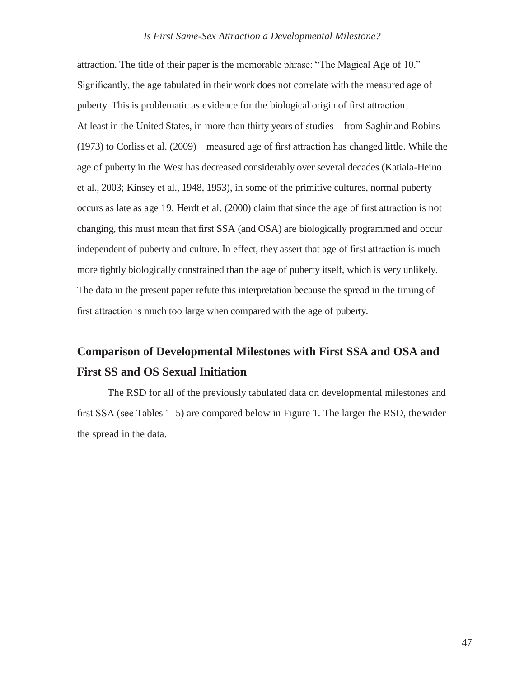attraction. The title of their paper is the memorable phrase: "The Magical Age of 10." Significantly, the age tabulated in their work does not correlate with the measured age of puberty. This is problematic as evidence for the biological origin of first attraction. At least in the United States, in more than thirty years of studies—from Saghir and Robins (1973) to Corliss et al. (2009)—measured age of first attraction has changed little. While the age of puberty in the West has decreased considerably over several decades (Katiala-Heino et al., 2003; Kinsey et al., 1948, 1953), in some of the primitive cultures, normal puberty occurs as late as age 19. Herdt et al. (2000) claim that since the age of first attraction is not changing, this must mean that first SSA (and OSA) are biologically programmed and occur independent of puberty and culture. In effect, they assert that age of first attraction is much more tightly biologically constrained than the age of puberty itself, which is very unlikely. The data in the present paper refute this interpretation because the spread in the timing of first attraction is much too large when compared with the age of puberty.

# **Comparison of Developmental Milestones with First SSA and OSA and First SS and OS Sexual Initiation**

The RSD for all of the previously tabulated data on developmental milestones and first SSA (see Tables 1–5) are compared below in Figure 1. The larger the RSD, thewider the spread in the data.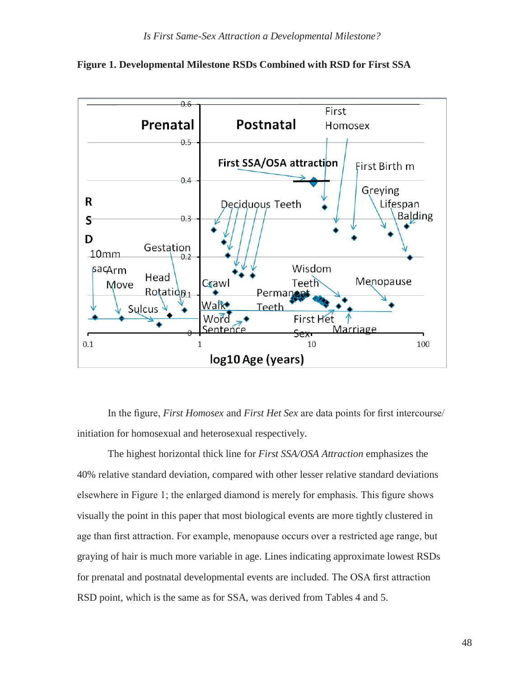

**Figure 1. Developmental Milestone RSDs Combined with RSD for First SSA**

In the figure, *First Homosex* and *First Het Sex* are data points for first intercourse/ initiation for homosexual and heterosexual respectively.

The highest horizontal thick line for *First SSA/OSA Attraction* emphasizes the 40% relative standard deviation, compared with other lesser relative standard deviations elsewhere in Figure 1; the enlarged diamond is merely for emphasis. This figure shows visually the point in this paper that most biological events are more tightly clustered in age than first attraction. For example, menopause occurs over a restricted age range, but graying of hair is much more variable in age. Lines indicating approximate lowest RSDs for prenatal and postnatal developmental events are included. The OSA first attraction RSD point, which is the same as for SSA, was derived from Tables 4 and 5.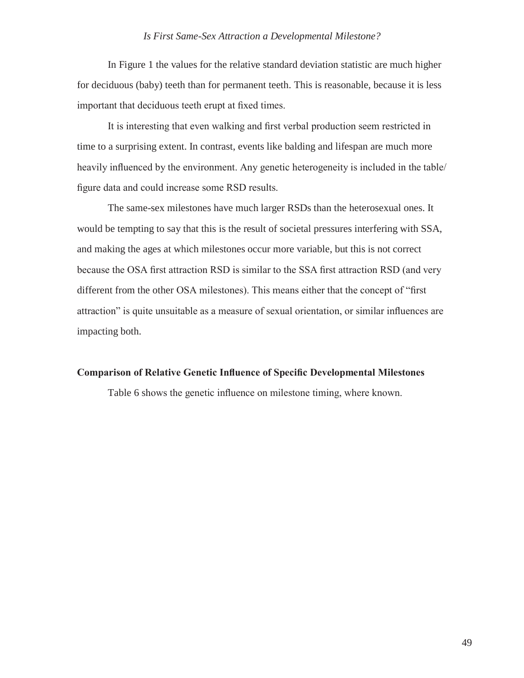In Figure 1 the values for the relative standard deviation statistic are much higher for deciduous (baby) teeth than for permanent teeth. This is reasonable, because it is less important that deciduous teeth erupt at fixed times.

It is interesting that even walking and first verbal production seem restricted in time to a surprising extent. In contrast, events like balding and lifespan are much more heavily influenced by the environment. Any genetic heterogeneity is included in the table/ figure data and could increase some RSD results.

The same-sex milestones have much larger RSDs than the heterosexual ones. It would be tempting to say that this is the result of societal pressures interfering with SSA, and making the ages at which milestones occur more variable, but this is not correct because the OSA first attraction RSD is similar to the SSA first attraction RSD (and very different from the other OSA milestones). This means either that the concept of "first attraction" is quite unsuitable as a measure of sexual orientation, or similar influences are impacting both.

#### **Comparison of Relative Genetic Influence of Specific Developmental Milestones**

Table 6 shows the genetic influence on milestone timing, where known.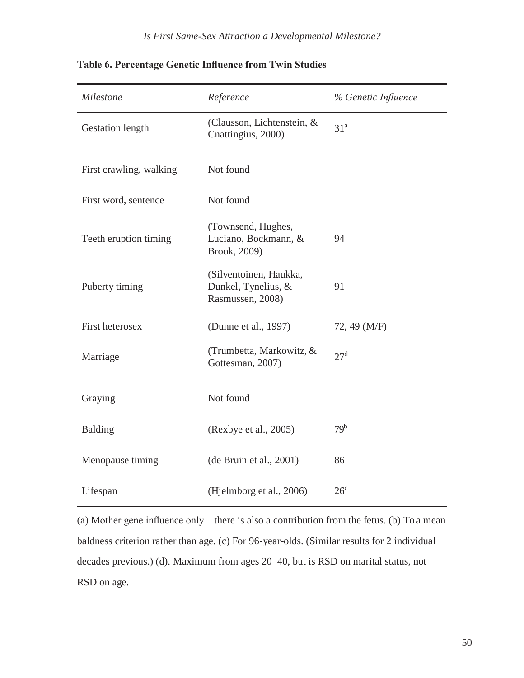| Milestone               | Reference                                                         | % Genetic Influence |
|-------------------------|-------------------------------------------------------------------|---------------------|
| <b>Gestation length</b> | (Clausson, Lichtenstein, &<br>Cnattingius, 2000)                  | 31 <sup>a</sup>     |
| First crawling, walking | Not found                                                         |                     |
| First word, sentence    | Not found                                                         |                     |
| Teeth eruption timing   | (Townsend, Hughes,<br>Luciano, Bockmann, &<br>Brook, 2009)        | 94                  |
| Puberty timing          | (Silventoinen, Haukka,<br>Dunkel, Tynelius, &<br>Rasmussen, 2008) | 91                  |
| First heterosex         | (Dunne et al., 1997)                                              | 72, 49 (M/F)        |
| Marriage                | (Trumbetta, Markowitz, &<br>Gottesman, 2007)                      | 27 <sup>d</sup>     |
| Graying                 | Not found                                                         |                     |
| <b>Balding</b>          | (Rexbye et al., 2005)                                             | 79 <sup>b</sup>     |
| Menopause timing        | (de Bruin et al., 2001)                                           | 86                  |
| Lifespan                | (Hjelmborg et al., 2006)                                          | 26 <sup>c</sup>     |

**Table 6. Percentage Genetic Influence from Twin Studies**

(a) Mother gene influence only—there is also a contribution from the fetus. (b) To a mean baldness criterion rather than age. (c) For 96-year-olds. (Similar results for 2 individual decades previous.) (d). Maximum from ages 20–40, but is RSD on marital status, not RSD on age.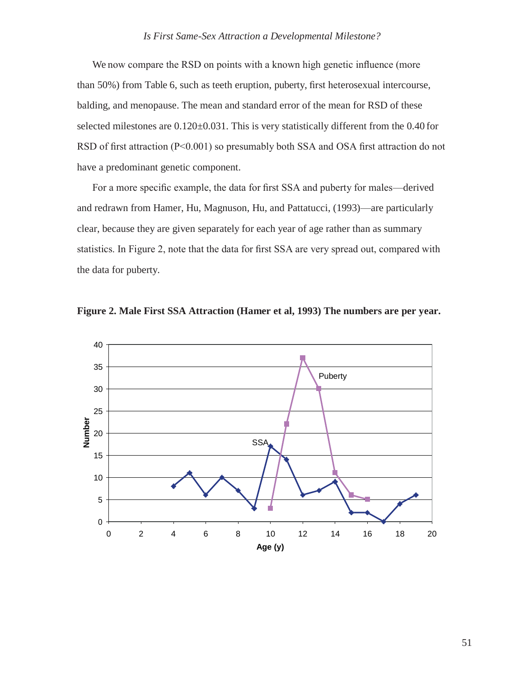We now compare the RSD on points with a known high genetic influence (more than 50%) from Table 6, such as teeth eruption, puberty, first heterosexual intercourse, balding, and menopause. The mean and standard error of the mean for RSD of these selected milestones are  $0.120 \pm 0.031$ . This is very statistically different from the 0.40 for RSD of first attraction (P<0.001) so presumably both SSA and OSA first attraction do not have a predominant genetic component.

For a more specific example, the data for first SSA and puberty for males—derived and redrawn from Hamer, Hu, Magnuson, Hu, and Pattatucci, (1993)—are particularly clear, because they are given separately for each year of age rather than as summary statistics. In Figure 2, note that the data for first SSA are very spread out, compared with the data for puberty.



**Figure 2. Male First SSA Attraction (Hamer et al, 1993) The numbers are per year.**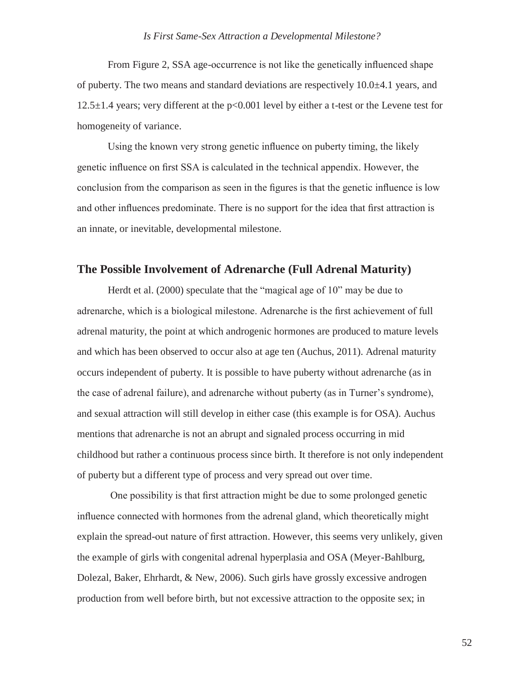From Figure 2, SSA age-occurrence is not like the genetically influenced shape of puberty. The two means and standard deviations are respectively 10.0±4.1 years, and 12.5±1.4 years; very different at the p<0.001 level by either a t-test or the Levene test for homogeneity of variance.

Using the known very strong genetic influence on puberty timing, the likely genetic influence on first SSA is calculated in the technical appendix. However, the conclusion from the comparison as seen in the figures is that the genetic influence is low and other influences predominate. There is no support for the idea that first attraction is an innate, or inevitable, developmental milestone.

### **The Possible Involvement of Adrenarche (Full Adrenal Maturity)**

Herdt et al. (2000) speculate that the "magical age of 10" may be due to adrenarche, which is a biological milestone. Adrenarche is the first achievement of full adrenal maturity, the point at which androgenic hormones are produced to mature levels and which has been observed to occur also at age ten (Auchus, 2011). Adrenal maturity occurs independent of puberty. It is possible to have puberty without adrenarche (as in the case of adrenal failure), and adrenarche without puberty (as in Turner's syndrome), and sexual attraction will still develop in either case (this example is for OSA). Auchus mentions that adrenarche is not an abrupt and signaled process occurring in mid childhood but rather a continuous process since birth. It therefore is not only independent of puberty but a different type of process and very spread out over time.

One possibility is that first attraction might be due to some prolonged genetic influence connected with hormones from the adrenal gland, which theoretically might explain the spread-out nature of first attraction. However, this seems very unlikely, given the example of girls with congenital adrenal hyperplasia and OSA (Meyer-Bahlburg, Dolezal, Baker, Ehrhardt, & New, 2006). Such girls have grossly excessive androgen production from well before birth, but not excessive attraction to the opposite sex; in

52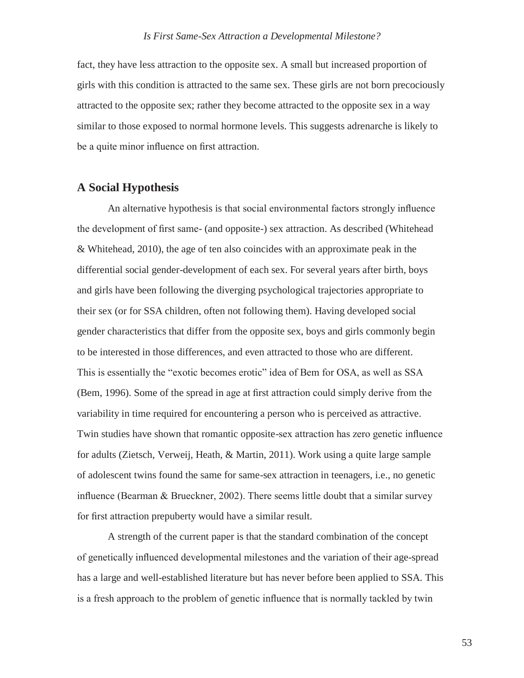fact, they have less attraction to the opposite sex. A small but increased proportion of girls with this condition is attracted to the same sex. These girls are not born precociously attracted to the opposite sex; rather they become attracted to the opposite sex in a way similar to those exposed to normal hormone levels. This suggests adrenarche is likely to be a quite minor influence on first attraction.

### **A Social Hypothesis**

An alternative hypothesis is that social environmental factors strongly influence the development of first same- (and opposite-) sex attraction. As described (Whitehead & Whitehead, 2010), the age of ten also coincides with an approximate peak in the differential social gender-development of each sex. For several years after birth, boys and girls have been following the diverging psychological trajectories appropriate to their sex (or for SSA children, often not following them). Having developed social gender characteristics that differ from the opposite sex, boys and girls commonly begin to be interested in those differences, and even attracted to those who are different. This is essentially the "exotic becomes erotic" idea of Bem for OSA, as well as SSA (Bem, 1996). Some of the spread in age at first attraction could simply derive from the variability in time required for encountering a person who is perceived as attractive. Twin studies have shown that romantic opposite-sex attraction has zero genetic influence for adults (Zietsch, Verweij, Heath, & Martin, 2011). Work using a quite large sample of adolescent twins found the same for same-sex attraction in teenagers, i.e., no genetic influence (Bearman & Brueckner, 2002). There seems little doubt that a similar survey for first attraction prepuberty would have a similar result.

A strength of the current paper is that the standard combination of the concept of genetically influenced developmental milestones and the variation of their age-spread has a large and well-established literature but has never before been applied to SSA. This is a fresh approach to the problem of genetic influence that is normally tackled by twin

53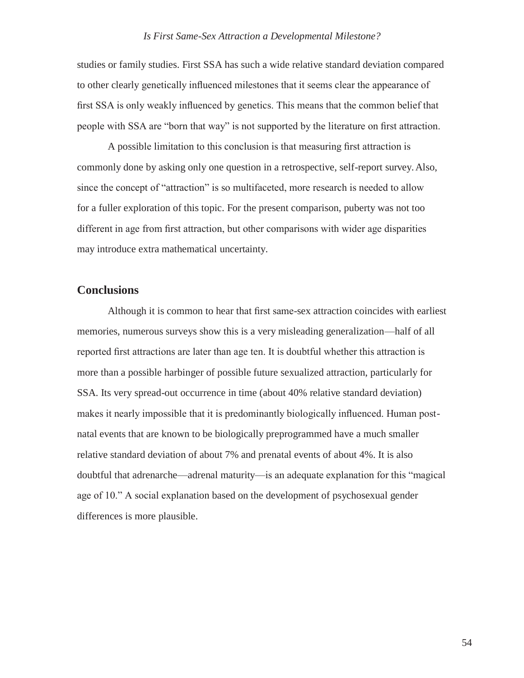studies or family studies. First SSA has such a wide relative standard deviation compared to other clearly genetically influenced milestones that it seems clear the appearance of first SSA is only weakly influenced by genetics. This means that the common belief that people with SSA are "born that way" is not supported by the literature on first attraction.

A possible limitation to this conclusion is that measuring first attraction is commonly done by asking only one question in a retrospective, self-report survey.Also, since the concept of "attraction" is so multifaceted, more research is needed to allow for a fuller exploration of this topic. For the present comparison, puberty was not too different in age from first attraction, but other comparisons with wider age disparities may introduce extra mathematical uncertainty.

### **Conclusions**

Although it is common to hear that first same-sex attraction coincides with earliest memories, numerous surveys show this is a very misleading generalization—half of all reported first attractions are later than age ten. It is doubtful whether this attraction is more than a possible harbinger of possible future sexualized attraction, particularly for SSA. Its very spread-out occurrence in time (about 40% relative standard deviation) makes it nearly impossible that it is predominantly biologically influenced. Human postnatal events that are known to be biologically preprogrammed have a much smaller relative standard deviation of about 7% and prenatal events of about 4%. It is also doubtful that adrenarche—adrenal maturity—is an adequate explanation for this "magical age of 10." A social explanation based on the development of psychosexual gender differences is more plausible.

54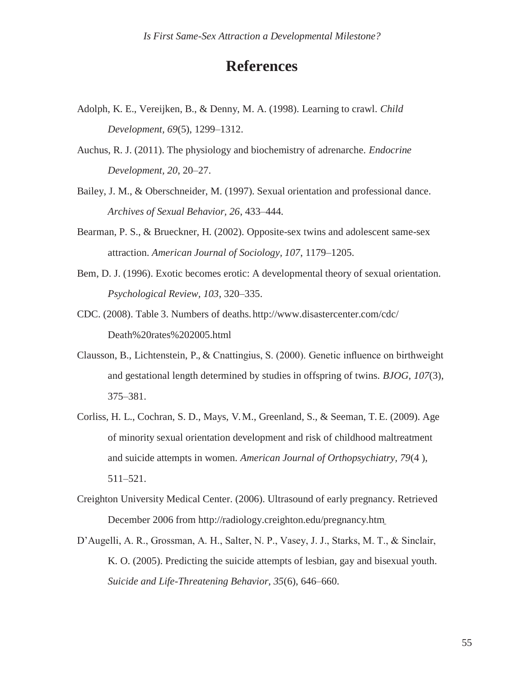# **References**

- Adolph, K. E., Vereijken, B., & Denny, M. A. (1998). Learning to crawl. *Child Development, 69*(5), 1299–1312.
- Auchus, R. J. (2011). The physiology and biochemistry of adrenarche. *Endocrine Development, 20*, 20–27.
- Bailey, J. M., & Oberschneider, M. (1997). Sexual orientation and professional dance. *Archives of Sexual Behavior, 26*, 433–444.
- Bearman, P. S., & Brueckner, H. (2002). Opposite-sex twins and adolescent same-sex attraction. *American Journal of Sociology, 107*, 1179–1205.
- Bem, D. J. (1996). Exotic becomes erotic: A developmental theory of sexual orientation. *Psychological Review, 103*, 320–335.
- CDC. (2008). Table 3. Numbers of deaths. <http://www.disastercenter.com/cdc/> Death%20rates%202005.html
- Clausson, B., Lichtenstein, P., & Cnattingius, S. (2000). Genetic influence on birthweight and gestational length determined by studies in offspring of twins. *BJOG, 107*(3), 375–381.
- Corliss, H. L., Cochran, S. D., Mays, V. M., Greenland, S., & Seeman, T. E. (2009). Age of minority sexual orientation development and risk of childhood maltreatment and suicide attempts in women. *American Journal of Orthopsychiatry, 79*(4 ), 511–521.
- Creighton University Medical Center. (2006). Ultrasound of early pregnancy. Retrieved December 2006 from<http://radiology.creighton.edu/pregnancy.htm>
- D'Augelli, A. R., Grossman, A. H., Salter, N. P., Vasey, J. J., Starks, M. T., & Sinclair, K. O. (2005). Predicting the suicide attempts of lesbian, gay and bisexual youth. *Suicide and Life-Threatening Behavior, 35*(6), 646–660.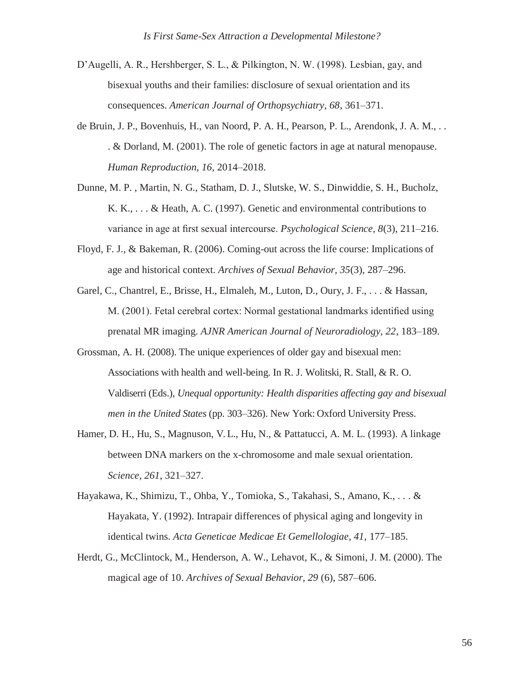- D'Augelli, A. R., Hershberger, S. L., & Pilkington, N. W. (1998). Lesbian, gay, and bisexual youths and their families: disclosure of sexual orientation and its consequences. *American Journal of Orthopsychiatry, 68*, 361–371.
- de Bruin, J. P., Bovenhuis, H., van Noord, P. A. H., Pearson, P. L., Arendonk, J. A. M., . . . & Dorland, M. (2001). The role of genetic factors in age at natural menopause. *Human Reproduction, 16*, 2014–2018.
- Dunne, M. P. , Martin, N. G., Statham, D. J., Slutske, W. S., Dinwiddie, S. H., Bucholz, K. K., . . . & Heath, A. C. (1997). Genetic and environmental contributions to variance in age at first sexual intercourse. *Psychological Science, 8*(3), 211–216.
- Floyd, F. J., & Bakeman, R. (2006). Coming-out across the life course: Implications of age and historical context. *Archives of Sexual Behavior, 35*(3), 287–296.
- Garel, C., Chantrel, E., Brisse, H., Elmaleh, M., Luton, D., Oury, J. F., . . . & Hassan, M. (2001). Fetal cerebral cortex: Normal gestational landmarks identified using prenatal MR imaging. *AJNR American Journal of Neuroradiology, 22*, 183–189.
- Grossman, A. H. (2008). The unique experiences of older gay and bisexual men: Associations with health and well-being. In R. J. Wolitski, R. Stall, & R. O. Valdiserri (Eds.), *Unequal opportunity: Health disparities affecting gay and bisexual men in the United States* (pp. 303–326). New York: Oxford University Press.
- Hamer, D. H., Hu, S., Magnuson, V. L., Hu, N., & Pattatucci, A. M. L. (1993). A linkage between DNA markers on the x-chromosome and male sexual orientation. *Science, 261*, 321–327.
- Hayakawa, K., Shimizu, T., Ohba, Y., Tomioka, S., Takahasi, S., Amano, K., . . . & Hayakata, Y. (1992). Intrapair differences of physical aging and longevity in identical twins. *Acta Geneticae Medicae Et Gemellologiae, 41,* 177–185.
- Herdt, G., McClintock, M., Henderson, A. W., Lehavot, K., & Simoni, J. M. (2000). The magical age of 10. *Archives of Sexual Behavior, 29* (6), 587–606.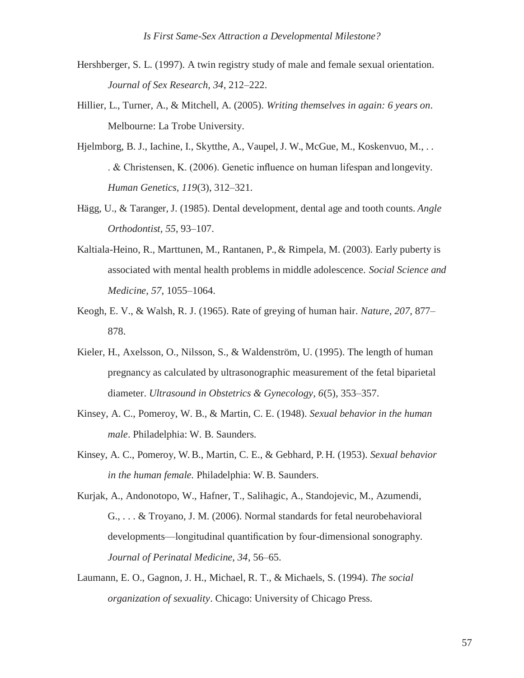- Hershberger, S. L. (1997). A twin registry study of male and female sexual orientation. *Journal of Sex Research, 34*, 212–222.
- Hillier, L., Turner, A., & Mitchell, A. (2005). *Writing themselves in again: 6 years on*. Melbourne: La Trobe University.
- Hjelmborg, B. J., Iachine, I., Skytthe, A., Vaupel, J. W., McGue, M., Koskenvuo, M., . . . & Christensen, K. (2006). Genetic influence on human lifespan and longevity. *Human Genetics, 119*(3), 312–321.
- Hägg, U., & Taranger, J. (1985). Dental development, dental age and tooth counts. *Angle Orthodontist, 55*, 93–107.
- Kaltiala-Heino, R., Marttunen, M., Rantanen, P., & Rimpela, M. (2003). Early puberty is associated with mental health problems in middle adolescence. *Social Science and Medicine, 57*, 1055–1064.
- Keogh, E. V., & Walsh, R. J. (1965). Rate of greying of human hair. *Nature, 207*, 877– 878.
- Kieler, H., Axelsson, O., Nilsson, S., & Waldenström, U. (1995). The length of human pregnancy as calculated by ultrasonographic measurement of the fetal biparietal diameter. *Ultrasound in Obstetrics & Gynecology, 6*(5), 353–357.
- Kinsey, A. C., Pomeroy, W. B., & Martin, C. E. (1948). *Sexual behavior in the human male*. Philadelphia: W. B. Saunders.
- Kinsey, A. C., Pomeroy, W. B., Martin, C. E., & Gebhard, P. H. (1953). *Sexual behavior in the human female.* Philadelphia: W. B. Saunders.
- Kurjak, A., Andonotopo, W., Hafner, T., Salihagic, A., Standojevic, M., Azumendi, G., . . . & Troyano, J. M. (2006). Normal standards for fetal neurobehavioral developments—longitudinal quantification by four-dimensional sonography. *Journal of Perinatal Medicine, 34*, 56–65.
- Laumann, E. O., Gagnon, J. H., Michael, R. T., & Michaels, S. (1994). *The social organization of sexuality*. Chicago: University of Chicago Press.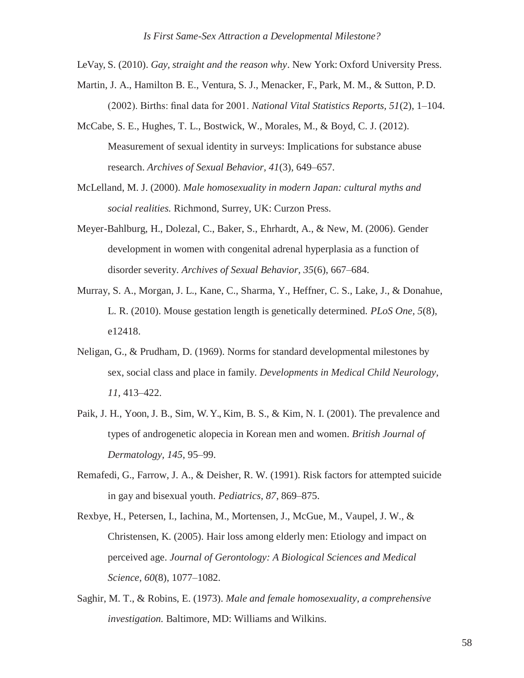LeVay, S. (2010). *Gay, straight and the reason why*. New York: Oxford University Press.

- Martin, J. A., Hamilton B. E., Ventura, S. J., Menacker, F., Park, M. M., & Sutton, P. D. (2002). Births: final data for 2001. *National Vital Statistics Reports, 51*(2), 1–104.
- McCabe, S. E., Hughes, T. L., Bostwick, W., Morales, M., & Boyd, C. J. (2012). Measurement of sexual identity in surveys: Implications for substance abuse research. *Archives of Sexual Behavior, 41*(3), 649–657.
- McLelland, M. J. (2000). *Male homosexuality in modern Japan: cultural myths and social realities.* Richmond, Surrey, UK: Curzon Press.
- Meyer-Bahlburg, H., Dolezal, C., Baker, S., Ehrhardt, A., & New, M. (2006). Gender development in women with congenital adrenal hyperplasia as a function of disorder severity. *Archives of Sexual Behavior, 35*(6), 667–684.
- Murray, S. A., Morgan, J. L., Kane, C., Sharma, Y., Heffner, C. S., Lake, J., & Donahue, L. R. (2010). Mouse gestation length is genetically determined. *PLoS One, 5*(8), e12418.
- Neligan, G., & Prudham, D. (1969). Norms for standard developmental milestones by sex, social class and place in family. *Developments in Medical Child Neurology, 11,* 413–422.
- Paik, J. H., Yoon, J. B., Sim, W. Y., Kim, B. S., & Kim, N. I. (2001). The prevalence and types of androgenetic alopecia in Korean men and women. *British Journal of Dermatology, 145*, 95–99.
- Remafedi, G., Farrow, J. A., & Deisher, R. W. (1991). Risk factors for attempted suicide in gay and bisexual youth. *Pediatrics, 87*, 869–875.
- Rexbye, H., Petersen, I., Iachina, M., Mortensen, J., McGue, M., Vaupel, J. W., & Christensen, K. (2005). Hair loss among elderly men: Etiology and impact on perceived age. *Journal of Gerontology: A Biological Sciences and Medical Science, 60*(8), 1077–1082.
- Saghir, M. T., & Robins, E. (1973). *Male and female homosexuality, a comprehensive investigation.* Baltimore, MD: Williams and Wilkins.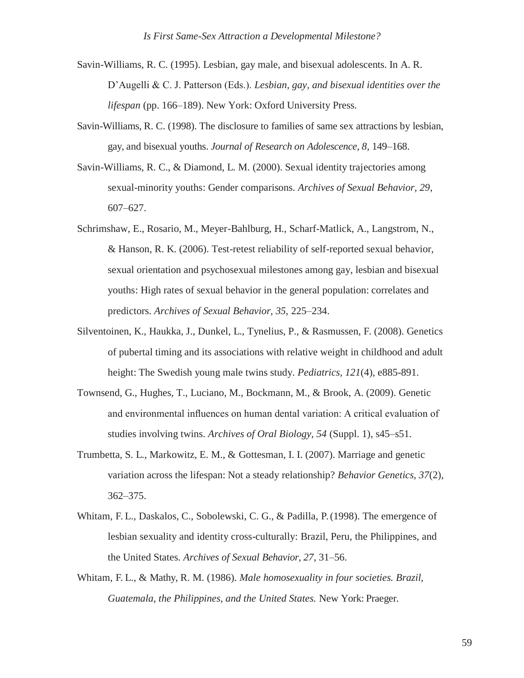- Savin-Williams, R. C. (1995). Lesbian, gay male, and bisexual adolescents. In A. R. D'Augelli & C. J. Patterson (Eds.). *Lesbian, gay, and bisexual identities over the lifespan* (pp. 166–189). New York: Oxford University Press.
- Savin-Williams, R. C. (1998). The disclosure to families of same sex attractions by lesbian, gay, and bisexual youths. *Journal of Research on Adolescence, 8,* 149–168.
- Savin-Williams, R. C., & Diamond, L. M. (2000). Sexual identity trajectories among sexual-minority youths: Gender comparisons. *Archives of Sexual Behavior, 29*, 607–627.
- Schrimshaw, E., Rosario, M., Meyer-Bahlburg, H., Scharf-Matlick, A., Langstrom, N., & Hanson, R. K. (2006). Test-retest reliability of self-reported sexual behavior, sexual orientation and psychosexual milestones among gay, lesbian and bisexual youths: High rates of sexual behavior in the general population: correlates and predictors. *Archives of Sexual Behavior, 35,* 225–234.
- Silventoinen, K., Haukka, J., Dunkel, L., Tynelius, P., & Rasmussen, F. (2008). Genetics of pubertal timing and its associations with relative weight in childhood and adult height: The Swedish young male twins study. *Pediatrics, 121*(4), e885-891.
- Townsend, G., Hughes, T., Luciano, M., Bockmann, M., & Brook, A. (2009). Genetic and environmental influences on human dental variation: A critical evaluation of studies involving twins. *Archives of Oral Biology, 54* (Suppl. 1), s45–s51.
- Trumbetta, S. L., Markowitz, E. M., & Gottesman, I. I. (2007). Marriage and genetic variation across the lifespan: Not a steady relationship? *Behavior Genetics, 37*(2), 362–375.
- Whitam, F. L., Daskalos, C., Sobolewski, C. G., & Padilla, P. (1998). The emergence of lesbian sexuality and identity cross-culturally: Brazil, Peru, the Philippines, and the United States. *Archives of Sexual Behavior, 27*, 31–56.
- Whitam, F. L., & Mathy, R. M. (1986). *Male homosexuality in four societies. Brazil, Guatemala, the Philippines, and the United States.* New York: Praeger.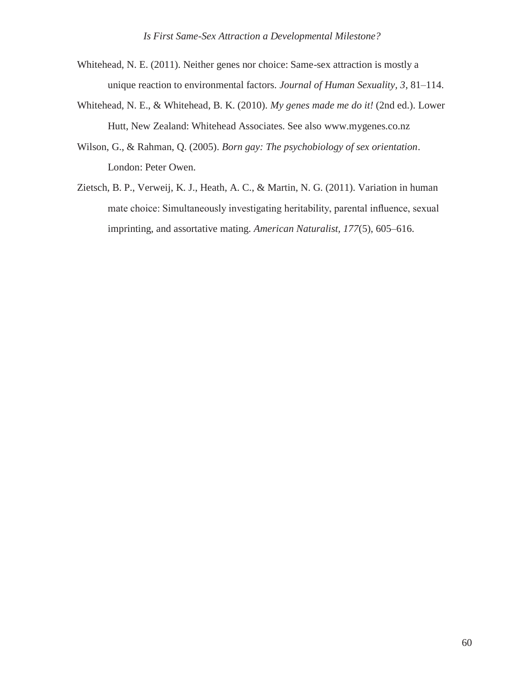- Whitehead, N. E. (2011). Neither genes nor choice: Same-sex attraction is mostly a unique reaction to environmental factors. *Journal of Human Sexuality, 3*, 81–114.
- Whitehead, N. E., & Whitehead, B. K. (2010). *My genes made me do it!* (2nd ed.). Lower Hutt, New Zealand: Whitehead Associates. See also [www.mygenes.co.nz](http://www.mygenes.co.nz/)
- Wilson, G., & Rahman, Q. (2005). *Born gay: The psychobiology of sex orientation*. London: Peter Owen.
- Zietsch, B. P., Verweij, K. J., Heath, A. C., & Martin, N. G. (2011). Variation in human mate choice: Simultaneously investigating heritability, parental influence, sexual imprinting, and assortative mating. *American Naturalist, 177*(5), 605–616.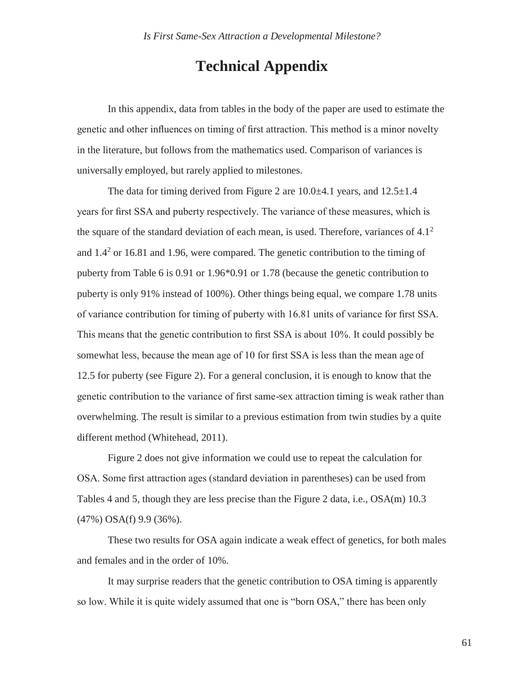# **Technical Appendix**

In this appendix, data from tables in the body of the paper are used to estimate the genetic and other influences on timing of first attraction. This method is a minor novelty in the literature, but follows from the mathematics used. Comparison of variances is universally employed, but rarely applied to milestones.

The data for timing derived from Figure 2 are  $10.0\pm 4.1$  years, and  $12.5\pm 1.4$ years for first SSA and puberty respectively. The variance of these measures, which is the square of the standard deviation of each mean, is used. Therefore, variances of  $4.1<sup>2</sup>$ and  $1.4<sup>2</sup>$  or 16.81 and 1.96, were compared. The genetic contribution to the timing of puberty from Table 6 is 0.91 or 1.96\*0.91 or 1.78 (because the genetic contribution to puberty is only 91% instead of 100%). Other things being equal, we compare 1.78 units of variance contribution for timing of puberty with 16.81 units of variance for first SSA. This means that the genetic contribution to first SSA is about 10%. It could possibly be somewhat less, because the mean age of 10 for first SSA is less than the mean age of 12.5 for puberty (see Figure 2). For a general conclusion, it is enough to know that the genetic contribution to the variance of first same-sex attraction timing is weak rather than overwhelming. The result is similar to a previous estimation from twin studies by a quite different method (Whitehead, 2011).

Figure 2 does not give information we could use to repeat the calculation for OSA. Some first attraction ages (standard deviation in parentheses) can be used from Tables 4 and 5, though they are less precise than the Figure 2 data, i.e., OSA(m) 10.3 (47%) OSA(f) 9.9 (36%).

These two results for OSA again indicate a weak effect of genetics, for both males and females and in the order of 10%.

It may surprise readers that the genetic contribution to OSA timing is apparently so low. While it is quite widely assumed that one is "born OSA," there has been only